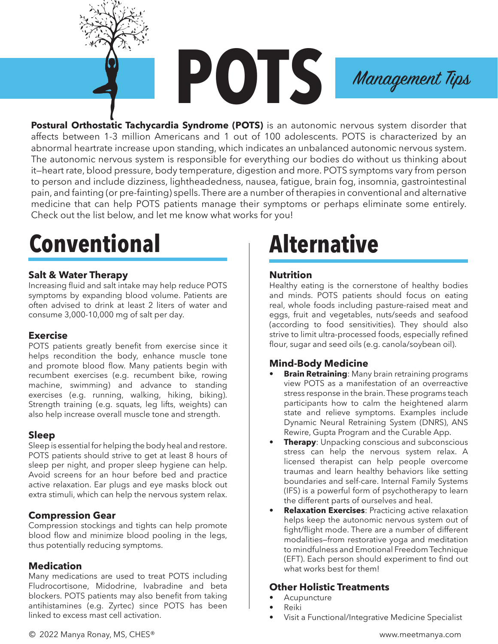# **POTS**

**Postural Orthostatic Tachycardia Syndrome (POTS)** is an autonomic nervous system disorder that affects between 1-3 million Americans and 1 out of 100 adolescents. POTS is characterized by an abnormal heartrate increase upon standing, which indicates an unbalanced autonomic nervous system. The autonomic nervous system is responsible for everything our bodies do without us thinking about it-heart rate, blood pressure, body temperature, digestion and more. POTS symptoms vary from person to person and include dizziness, lightheadedness, nausea, fatigue, brain fog, insomnia, gastrointestinal pain, and fainting (or pre-fainting) spells. There are a number of therapies in conventional and alternative medicine that can help POTS patients manage their symptoms or perhaps eliminate some entirely. Check out the list below, and let me know what works for you!

## **Alternative Conventional**

## **Salt & Water Therapy**

Increasing fluid and salt intake may help reduce POTS symptoms by expanding blood volume. Patients are often advised to drink at least 2 liters of water and consume  $3,000-10,000$  mg of salt per day.

### **Exercise**

POTS patients greatly benefit from exercise since it helps recondition the body, enhance muscle tone and promote blood flow. Many patients begin with recumbent exercises (e.g. recumbent bike, rowing machine, swimming) and advance to standing exercises (e.g. running, walking, hiking, biking). Strength training (e.g. squats, leg lifts, weights) can also help increase overall muscle tone and strength.

## **Sleep**

Sleep is essential for helping the body heal and restore. POTS patients should strive to get at least 8 hours of sleep per night, and proper sleep hygiene can help. Avoid screens for an hour before bed and practice active relaxation. Ear plugs and eye masks block out extra stimuli, which can help the nervous system relax.

## **Compression Gear**

Compression stockings and tights can help promote blood flow and minimize blood pooling in the legs, thus potentially reducing symptoms.

## **Medication**

Many medications are used to treat POTS including Fludrocortisone, Midodrine, Ivabradine and beta blockers. POTS patients may also benefit from taking antihistamines (e.g. Zyrtec) since POTS has been linked to excess mast cell activation.

## **Nutrition**

Healthy eating is the cornerstone of healthy bodies and minds. POTS patients should focus on eating real, whole foods including pasture-raised meat and eggs, fruit and vegetables, nuts/seeds and seafood (according to food sensitivities). They should also strive to limit ultra-processed foods, especially refined flour, sugar and seed oils (e.g. canola/soybean oil).

Management Tips

## **Mind-Body Medicine**

- **Brain Retraining:** Many brain retraining programs view POTS as a manifestation of an overreactive stress response in the brain. These programs teach participants how to calm the heightened alarm state and relieve symptoms. Examples include Dynamic Neural Retraining System (DNRS), ANS Rewire, Gupta Program and the Curable App.
- **Therapy:** Unpacking conscious and subconscious stress can help the nervous system relax. A licensed therapist can help people overcome traumas and learn healthy behaviors like setting boundaries and self-care. Internal Family Systems (IFS) is a powerful form of psychotherapy to learn the different parts of ourselves and heal.
- **Relaxation Exercises: Practicing active relaxation** helps keep the autonomic nervous system out of fight/flight mode. There are a number of different modalities-from restorative yoga and meditation to mindfulness and Emotional Freedom Technique (EFT). Each person should experiment to find out what works best for them!

## **Other Holistic Treatments**

- Acupuncture• Reiki•
- Visit a Functional/Integrative Medicine Specialist